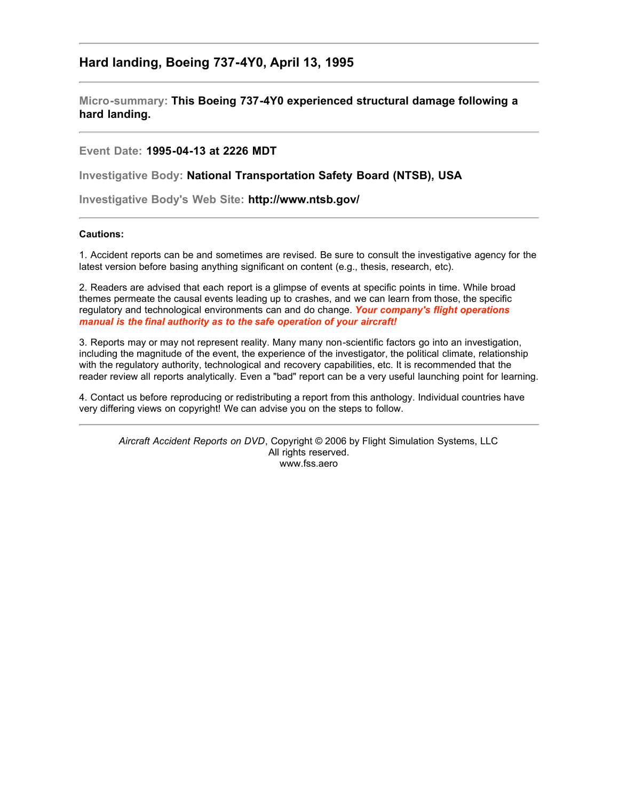## **Hard landing, Boeing 737-4Y0, April 13, 1995**

**Micro-summary: This Boeing 737-4Y0 experienced structural damage following a hard landing.**

**Event Date: 1995-04-13 at 2226 MDT**

**Investigative Body: National Transportation Safety Board (NTSB), USA**

**Investigative Body's Web Site: http://www.ntsb.gov/**

## **Cautions:**

1. Accident reports can be and sometimes are revised. Be sure to consult the investigative agency for the latest version before basing anything significant on content (e.g., thesis, research, etc).

2. Readers are advised that each report is a glimpse of events at specific points in time. While broad themes permeate the causal events leading up to crashes, and we can learn from those, the specific regulatory and technological environments can and do change. *Your company's flight operations manual is the final authority as to the safe operation of your aircraft!*

3. Reports may or may not represent reality. Many many non-scientific factors go into an investigation, including the magnitude of the event, the experience of the investigator, the political climate, relationship with the regulatory authority, technological and recovery capabilities, etc. It is recommended that the reader review all reports analytically. Even a "bad" report can be a very useful launching point for learning.

4. Contact us before reproducing or redistributing a report from this anthology. Individual countries have very differing views on copyright! We can advise you on the steps to follow.

*Aircraft Accident Reports on DVD*, Copyright © 2006 by Flight Simulation Systems, LLC All rights reserved. www.fss.aero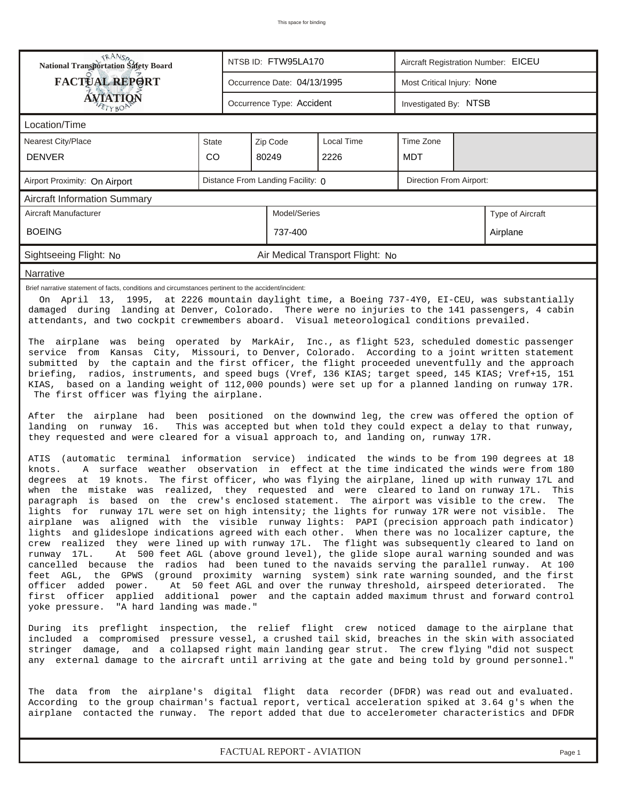| <b>National Transportation Safety Board</b>                                                                                                                                                                                                                                                                                                                                                                                                                                                                                                                                                                                                                                                                                                                                                                                                                                                                                                                                                                                                                                                                                                                                                                                                                                                                                                                                                                                                                                                                                                                                                                                                                                                                                                                                                                                                                                              |                           |  | NTSB ID: FTW95LA170         |                                  | Aircraft Registration Number: EICEU |                            |                  |  |  |  |  |
|------------------------------------------------------------------------------------------------------------------------------------------------------------------------------------------------------------------------------------------------------------------------------------------------------------------------------------------------------------------------------------------------------------------------------------------------------------------------------------------------------------------------------------------------------------------------------------------------------------------------------------------------------------------------------------------------------------------------------------------------------------------------------------------------------------------------------------------------------------------------------------------------------------------------------------------------------------------------------------------------------------------------------------------------------------------------------------------------------------------------------------------------------------------------------------------------------------------------------------------------------------------------------------------------------------------------------------------------------------------------------------------------------------------------------------------------------------------------------------------------------------------------------------------------------------------------------------------------------------------------------------------------------------------------------------------------------------------------------------------------------------------------------------------------------------------------------------------------------------------------------------------|---------------------------|--|-----------------------------|----------------------------------|-------------------------------------|----------------------------|------------------|--|--|--|--|
| <b>FACTUAL REPORT</b>                                                                                                                                                                                                                                                                                                                                                                                                                                                                                                                                                                                                                                                                                                                                                                                                                                                                                                                                                                                                                                                                                                                                                                                                                                                                                                                                                                                                                                                                                                                                                                                                                                                                                                                                                                                                                                                                    |                           |  | Occurrence Date: 04/13/1995 |                                  |                                     | Most Critical Injury: None |                  |  |  |  |  |
| AVIATION                                                                                                                                                                                                                                                                                                                                                                                                                                                                                                                                                                                                                                                                                                                                                                                                                                                                                                                                                                                                                                                                                                                                                                                                                                                                                                                                                                                                                                                                                                                                                                                                                                                                                                                                                                                                                                                                                 | Occurrence Type: Accident |  | Investigated By: NTSB       |                                  |                                     |                            |                  |  |  |  |  |
| Location/Time                                                                                                                                                                                                                                                                                                                                                                                                                                                                                                                                                                                                                                                                                                                                                                                                                                                                                                                                                                                                                                                                                                                                                                                                                                                                                                                                                                                                                                                                                                                                                                                                                                                                                                                                                                                                                                                                            |                           |  |                             |                                  |                                     |                            |                  |  |  |  |  |
| <b>Nearest City/Place</b>                                                                                                                                                                                                                                                                                                                                                                                                                                                                                                                                                                                                                                                                                                                                                                                                                                                                                                                                                                                                                                                                                                                                                                                                                                                                                                                                                                                                                                                                                                                                                                                                                                                                                                                                                                                                                                                                | <b>State</b>              |  | Zip Code                    | <b>Local Time</b>                | Time Zone                           |                            |                  |  |  |  |  |
| <b>DENVER</b>                                                                                                                                                                                                                                                                                                                                                                                                                                                                                                                                                                                                                                                                                                                                                                                                                                                                                                                                                                                                                                                                                                                                                                                                                                                                                                                                                                                                                                                                                                                                                                                                                                                                                                                                                                                                                                                                            | CO                        |  | 80249                       | 2226                             | <b>MDT</b>                          |                            |                  |  |  |  |  |
| Direction From Airport:<br>Distance From Landing Facility: 0<br>Airport Proximity: On Airport                                                                                                                                                                                                                                                                                                                                                                                                                                                                                                                                                                                                                                                                                                                                                                                                                                                                                                                                                                                                                                                                                                                                                                                                                                                                                                                                                                                                                                                                                                                                                                                                                                                                                                                                                                                            |                           |  |                             |                                  |                                     |                            |                  |  |  |  |  |
| Aircraft Information Summary                                                                                                                                                                                                                                                                                                                                                                                                                                                                                                                                                                                                                                                                                                                                                                                                                                                                                                                                                                                                                                                                                                                                                                                                                                                                                                                                                                                                                                                                                                                                                                                                                                                                                                                                                                                                                                                             |                           |  |                             |                                  |                                     |                            |                  |  |  |  |  |
| Aircraft Manufacturer                                                                                                                                                                                                                                                                                                                                                                                                                                                                                                                                                                                                                                                                                                                                                                                                                                                                                                                                                                                                                                                                                                                                                                                                                                                                                                                                                                                                                                                                                                                                                                                                                                                                                                                                                                                                                                                                    |                           |  | Model/Series                |                                  |                                     |                            | Type of Aircraft |  |  |  |  |
| <b>BOEING</b>                                                                                                                                                                                                                                                                                                                                                                                                                                                                                                                                                                                                                                                                                                                                                                                                                                                                                                                                                                                                                                                                                                                                                                                                                                                                                                                                                                                                                                                                                                                                                                                                                                                                                                                                                                                                                                                                            |                           |  | 737-400                     |                                  |                                     |                            | Airplane         |  |  |  |  |
| Sightseeing Flight: No                                                                                                                                                                                                                                                                                                                                                                                                                                                                                                                                                                                                                                                                                                                                                                                                                                                                                                                                                                                                                                                                                                                                                                                                                                                                                                                                                                                                                                                                                                                                                                                                                                                                                                                                                                                                                                                                   |                           |  |                             | Air Medical Transport Flight: No |                                     |                            |                  |  |  |  |  |
| Narrative                                                                                                                                                                                                                                                                                                                                                                                                                                                                                                                                                                                                                                                                                                                                                                                                                                                                                                                                                                                                                                                                                                                                                                                                                                                                                                                                                                                                                                                                                                                                                                                                                                                                                                                                                                                                                                                                                |                           |  |                             |                                  |                                     |                            |                  |  |  |  |  |
| Brief narrative statement of facts, conditions and circumstances pertinent to the accident/incident:<br>On April 13, 1995, at 2226 mountain daylight time, a Boeing 737-4Y0, EI-CEU, was substantially<br>damaged during landing at Denver, Colorado. There were no injuries to the 141 passengers, 4 cabin<br>attendants, and two cockpit crewmembers aboard. Visual meteorological conditions prevailed.<br>The airplane was being operated by MarkAir, Inc., as flight 523, scheduled domestic passenger                                                                                                                                                                                                                                                                                                                                                                                                                                                                                                                                                                                                                                                                                                                                                                                                                                                                                                                                                                                                                                                                                                                                                                                                                                                                                                                                                                              |                           |  |                             |                                  |                                     |                            |                  |  |  |  |  |
| service from Kansas City, Missouri, to Denver, Colorado. According to a joint written statement<br>submitted by the captain and the first officer, the flight proceeded uneventfully and the approach<br>briefing, radios, instruments, and speed bugs (Vref, 136 KIAS; target speed, 145 KIAS; Vref+15, 151<br>KIAS, based on a landing weight of 112,000 pounds) were set up for a planned landing on runway 17R.<br>The first officer was flying the airplane.<br>After the airplane had been positioned on the downwind leg, the crew was offered the option of                                                                                                                                                                                                                                                                                                                                                                                                                                                                                                                                                                                                                                                                                                                                                                                                                                                                                                                                                                                                                                                                                                                                                                                                                                                                                                                      |                           |  |                             |                                  |                                     |                            |                  |  |  |  |  |
| This was accepted but when told they could expect a delay to that runway,<br>landing on runway 16.<br>they requested and were cleared for a visual approach to, and landing on, runway 17R.<br>ATIS (automatic terminal information service) indicated the winds to be from 190 degrees at 18<br>A surface weather observation in effect at the time indicated the winds were from 180<br>knots.<br>degrees at 19 knots. The first officer, who was flying the airplane, lined up with runway 17L and<br>when the mistake was realized, they requested and were cleared to land on runway 17L. This<br>paragraph is based on the crew's enclosed statement. The airport was visible to the crew. The<br>lights for runway 17L were set on high intensity; the lights for runway 17R were not visible. The<br>airplane was aligned with the visible runway lights: PAPI (precision approach path indicator)<br>lights and glideslope indications agreed with each other. When there was no localizer capture, the<br>crew realized they were lined up with runway 17L. The flight was subsequently cleared to land on<br>At 500 feet AGL (above ground level), the glide slope aural warning sounded and was<br>runway 17L.<br>cancelled because the radios had been tuned to the navaids serving the parallel runway. At 100<br>feet AGL, the GPWS (ground proximity warning system) sink rate warning sounded, and the first<br>officer added power.<br>At 50 feet AGL and over the runway threshold, airspeed deteriorated. The<br>first officer<br>applied additional power and the captain added maximum thrust and forward control<br>yoke pressure. "A hard landing was made."<br>During its preflight inspection, the relief flight crew noticed damage to the airplane that<br>included a compromised pressure vessel, a crushed tail skid, breaches in the skin with associated |                           |  |                             |                                  |                                     |                            |                  |  |  |  |  |
| stringer damage, and a collapsed right main landing gear strut. The crew flying "did not suspect<br>any external damage to the aircraft until arriving at the gate and being told by ground personnel."<br>The data from the airplane's digital flight data recorder (DFDR) was read out and evaluated.<br>According to the group chairman's factual report, vertical acceleration spiked at 3.64 g's when the<br>airplane contacted the runway. The report added that due to accelerometer characteristics and DFDR                                                                                                                                                                                                                                                                                                                                                                                                                                                                                                                                                                                                                                                                                                                                                                                                                                                                                                                                                                                                                                                                                                                                                                                                                                                                                                                                                                     |                           |  |                             |                                  |                                     |                            |                  |  |  |  |  |
|                                                                                                                                                                                                                                                                                                                                                                                                                                                                                                                                                                                                                                                                                                                                                                                                                                                                                                                                                                                                                                                                                                                                                                                                                                                                                                                                                                                                                                                                                                                                                                                                                                                                                                                                                                                                                                                                                          |                           |  |                             |                                  |                                     |                            |                  |  |  |  |  |

*FACTUAL REPORT - AVIATION Page 1*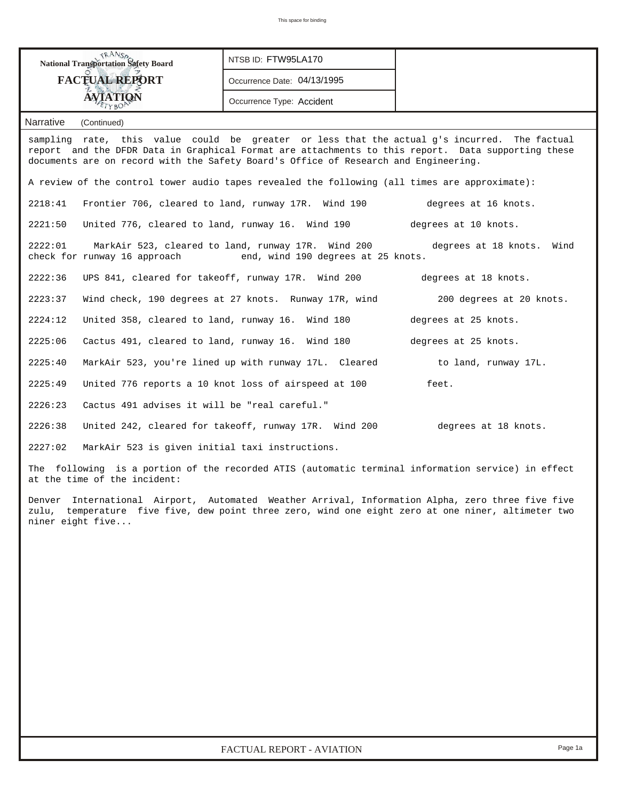| <b>National Transportation Safety Board</b>                                                                                                                                                                                                                                               | NTSB ID: FTW95LA170                                                      |                      |  |  |  |  |  |  |  |
|-------------------------------------------------------------------------------------------------------------------------------------------------------------------------------------------------------------------------------------------------------------------------------------------|--------------------------------------------------------------------------|----------------------|--|--|--|--|--|--|--|
| <b>FACTUAL REPORT</b>                                                                                                                                                                                                                                                                     | Occurrence Date: 04/13/1995                                              |                      |  |  |  |  |  |  |  |
| <b>AVIATION</b><br>TYBO                                                                                                                                                                                                                                                                   |                                                                          |                      |  |  |  |  |  |  |  |
| <b>Narrative</b><br>(Continued)                                                                                                                                                                                                                                                           |                                                                          |                      |  |  |  |  |  |  |  |
| sampling rate, this value could be greater or less that the actual g's incurred. The factual<br>report and the DFDR Data in Graphical Format are attachments to this report. Data supporting these<br>documents are on record with the Safety Board's Office of Research and Engineering. |                                                                          |                      |  |  |  |  |  |  |  |
| A review of the control tower audio tapes revealed the following (all times are approximate):                                                                                                                                                                                             |                                                                          |                      |  |  |  |  |  |  |  |
| 2218:41                                                                                                                                                                                                                                                                                   | Frontier 706, cleared to land, runway 17R. Wind 190                      | degrees at 16 knots. |  |  |  |  |  |  |  |
| United 776, cleared to land, runway 16. Wind 190<br>2221:50                                                                                                                                                                                                                               |                                                                          | degrees at 10 knots. |  |  |  |  |  |  |  |
| MarkAir 523, cleared to land, runway 17R. Wind 200<br>2222:01<br>degrees at 18 knots. Wind<br>check for runway 16 approach end, wind 190 degrees at 25 knots.                                                                                                                             |                                                                          |                      |  |  |  |  |  |  |  |
| 2222:36                                                                                                                                                                                                                                                                                   | UPS 841, cleared for takeoff, runway 17R. Wind 200                       |                      |  |  |  |  |  |  |  |
| 2223:37                                                                                                                                                                                                                                                                                   | Wind check, 190 degrees at 27 knots. Runway 17R, wind                    |                      |  |  |  |  |  |  |  |
| 2224:12                                                                                                                                                                                                                                                                                   | United 358, cleared to land, runway 16. Wind 180<br>degrees at 25 knots. |                      |  |  |  |  |  |  |  |
| 2225:06                                                                                                                                                                                                                                                                                   | Cactus 491, cleared to land, runway 16. Wind 180                         | degrees at 25 knots. |  |  |  |  |  |  |  |
| 2225:40                                                                                                                                                                                                                                                                                   | MarkAir 523, you're lined up with runway 17L. Cleared                    | to land, runway 17L. |  |  |  |  |  |  |  |
| 2225:49                                                                                                                                                                                                                                                                                   | United 776 reports a 10 knot loss of airspeed at 100                     | feet.                |  |  |  |  |  |  |  |
| 2226:23<br>Cactus 491 advises it will be "real careful."                                                                                                                                                                                                                                  |                                                                          |                      |  |  |  |  |  |  |  |
| 2226:38                                                                                                                                                                                                                                                                                   | United 242, cleared for takeoff, runway 17R. Wind 200                    | degrees at 18 knots. |  |  |  |  |  |  |  |
| 2227:02<br>MarkAir 523 is given initial taxi instructions.                                                                                                                                                                                                                                |                                                                          |                      |  |  |  |  |  |  |  |
| The following is a portion of the recorded ATIS (automatic terminal information service) in effect<br>at the time of the incident:                                                                                                                                                        |                                                                          |                      |  |  |  |  |  |  |  |
| International Airport, Automated Weather Arrival, Information Alpha, zero three five five<br>Denver<br>zulu, temperature five five, dew point three zero, wind one eight zero at one niner, altimeter two<br>niner eight five                                                             |                                                                          |                      |  |  |  |  |  |  |  |
|                                                                                                                                                                                                                                                                                           |                                                                          |                      |  |  |  |  |  |  |  |
|                                                                                                                                                                                                                                                                                           |                                                                          |                      |  |  |  |  |  |  |  |
|                                                                                                                                                                                                                                                                                           |                                                                          |                      |  |  |  |  |  |  |  |
|                                                                                                                                                                                                                                                                                           |                                                                          |                      |  |  |  |  |  |  |  |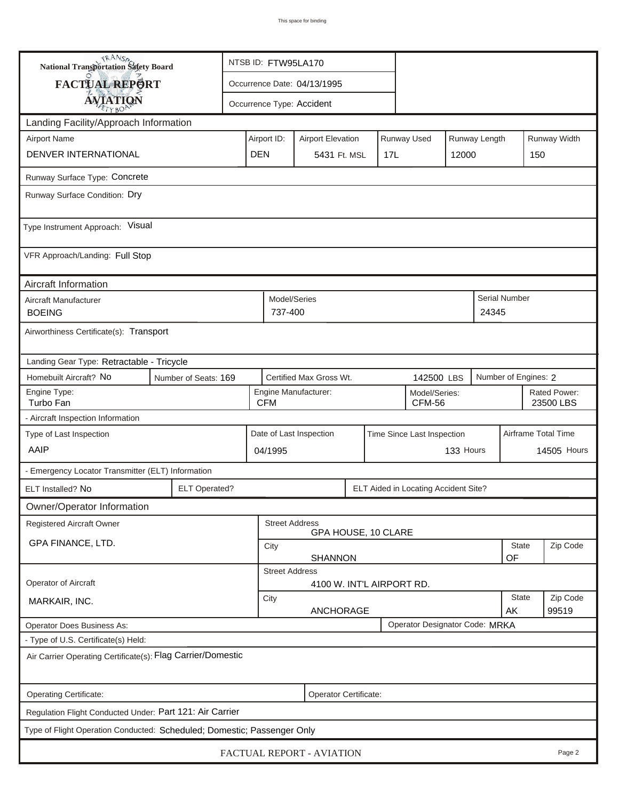| <b>National Transportation Safety Board</b>                             | NTSB ID: FTW95LA170  |                          |                                                               |                                                |             |       |                                      |           |                           |                      |                     |  |
|-------------------------------------------------------------------------|----------------------|--------------------------|---------------------------------------------------------------|------------------------------------------------|-------------|-------|--------------------------------------|-----------|---------------------------|----------------------|---------------------|--|
| <b>FACTUAL REPORT</b>                                                   |                      |                          | Occurrence Date: 04/13/1995                                   |                                                |             |       |                                      |           |                           |                      |                     |  |
| <b>AVIATION</b>                                                         |                      |                          | Occurrence Type: Accident                                     |                                                |             |       |                                      |           |                           |                      |                     |  |
| Landing Facility/Approach Information                                   |                      |                          |                                                               |                                                |             |       |                                      |           |                           |                      |                     |  |
| <b>Airport Name</b>                                                     | Airport ID:          | <b>Airport Elevation</b> |                                                               |                                                | Runway Used |       | Runway Length                        |           | Runway Width              |                      |                     |  |
| DENVER INTERNATIONAL                                                    | <b>DEN</b>           | 5431 Ft. MSL             |                                                               | 17L                                            |             | 12000 | 150                                  |           |                           |                      |                     |  |
| Runway Surface Type: Concrete                                           |                      |                          |                                                               |                                                |             |       |                                      |           |                           |                      |                     |  |
| Runway Surface Condition: Dry                                           |                      |                          |                                                               |                                                |             |       |                                      |           |                           |                      |                     |  |
| Type Instrument Approach: Visual                                        |                      |                          |                                                               |                                                |             |       |                                      |           |                           |                      |                     |  |
| VFR Approach/Landing: Full Stop                                         |                      |                          |                                                               |                                                |             |       |                                      |           |                           |                      |                     |  |
| Aircraft Information                                                    |                      |                          |                                                               |                                                |             |       |                                      |           |                           |                      |                     |  |
| Aircraft Manufacturer<br><b>BOEING</b>                                  |                      |                          | Model/Series<br>737-400                                       |                                                |             |       |                                      |           | 24345                     | <b>Serial Number</b> |                     |  |
| Airworthiness Certificate(s): Transport                                 |                      |                          |                                                               |                                                |             |       |                                      |           |                           |                      |                     |  |
| Landing Gear Type: Retractable - Tricycle                               |                      |                          |                                                               |                                                |             |       |                                      |           |                           |                      |                     |  |
| Homebuilt Aircraft? No                                                  | Number of Seats: 169 |                          | Certified Max Gross Wt.<br>142500 LBS                         |                                                |             |       |                                      |           | Number of Engines: 2      |                      |                     |  |
| Engine Type:<br>Turbo Fan                                               |                      |                          | Engine Manufacturer:<br>Model/Series:<br><b>CFM</b><br>CFM-56 |                                                |             |       |                                      |           | Rated Power:<br>23500 LBS |                      |                     |  |
| - Aircraft Inspection Information                                       |                      |                          |                                                               |                                                |             |       |                                      |           |                           |                      |                     |  |
| Type of Last Inspection                                                 |                      |                          | Date of Last Inspection<br>Time Since Last Inspection         |                                                |             |       |                                      |           |                           |                      | Airframe Total Time |  |
| AAIP                                                                    |                      |                          | 04/1995                                                       |                                                |             |       |                                      | 133 Hours |                           |                      | <b>14505 Hours</b>  |  |
| - Emergency Locator Transmitter (ELT) Information                       |                      |                          |                                                               |                                                |             |       |                                      |           |                           |                      |                     |  |
| ELT Installed? No                                                       | <b>ELT Operated?</b> |                          |                                                               |                                                |             |       | ELT Aided in Locating Accident Site? |           |                           |                      |                     |  |
| Owner/Operator Information                                              |                      |                          |                                                               |                                                |             |       |                                      |           |                           |                      |                     |  |
| Registered Aircraft Owner                                               |                      |                          | <b>Street Address</b>                                         | GPA HOUSE, 10 CLARE                            |             |       |                                      |           |                           |                      |                     |  |
| GPA FINANCE, LTD.                                                       |                      |                          | City<br><b>SHANNON</b>                                        |                                                |             |       |                                      |           |                           | <b>State</b><br>OF   | Zip Code            |  |
|                                                                         |                      |                          | <b>Street Address</b>                                         |                                                |             |       |                                      |           |                           |                      |                     |  |
| <b>Operator of Aircraft</b>                                             |                      |                          |                                                               | 4100 W. INT'L AIRPORT RD.                      |             |       |                                      |           |                           |                      |                     |  |
| MARKAIR, INC.                                                           |                      |                          |                                                               | <b>State</b><br>City<br><b>ANCHORAGE</b><br>AK |             |       |                                      |           |                           | Zip Code<br>99519    |                     |  |
| Operator Designator Code: MRKA<br>Operator Does Business As:            |                      |                          |                                                               |                                                |             |       |                                      |           |                           |                      |                     |  |
| - Type of U.S. Certificate(s) Held:                                     |                      |                          |                                                               |                                                |             |       |                                      |           |                           |                      |                     |  |
| Air Carrier Operating Certificate(s): Flag Carrier/Domestic             |                      |                          |                                                               |                                                |             |       |                                      |           |                           |                      |                     |  |
| Operating Certificate:<br>Operator Certificate:                         |                      |                          |                                                               |                                                |             |       |                                      |           |                           |                      |                     |  |
| Regulation Flight Conducted Under: Part 121: Air Carrier                |                      |                          |                                                               |                                                |             |       |                                      |           |                           |                      |                     |  |
| Type of Flight Operation Conducted: Scheduled; Domestic; Passenger Only |                      |                          |                                                               |                                                |             |       |                                      |           |                           |                      |                     |  |
| FACTUAL REPORT - AVIATION<br>Page 2                                     |                      |                          |                                                               |                                                |             |       |                                      |           |                           |                      |                     |  |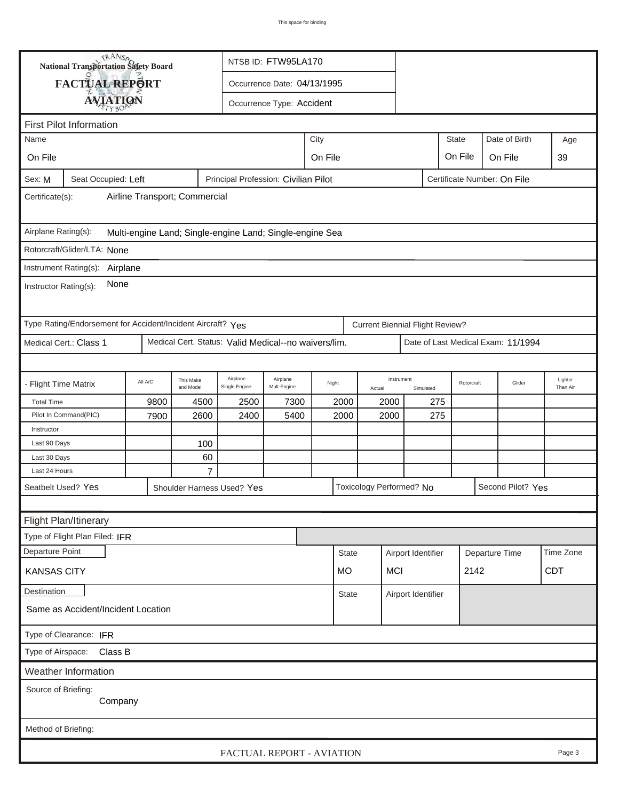|                                                                                                      | <b>National Transportation Safety Board</b>                 |                                              | NTSB ID: FTW95LA170    |                                                      |                               |                 |      |                                        |     |                |                                    |                     |  |
|------------------------------------------------------------------------------------------------------|-------------------------------------------------------------|----------------------------------------------|------------------------|------------------------------------------------------|-------------------------------|-----------------|------|----------------------------------------|-----|----------------|------------------------------------|---------------------|--|
| FACTUAL REPORT<br>Occurrence Date: 04/13/1995                                                        |                                                             |                                              |                        |                                                      |                               |                 |      |                                        |     |                |                                    |                     |  |
|                                                                                                      |                                                             | <b>AVIATION</b><br>Occurrence Type: Accident |                        |                                                      |                               |                 |      |                                        |     |                |                                    |                     |  |
|                                                                                                      |                                                             |                                              |                        |                                                      |                               |                 |      |                                        |     |                |                                    |                     |  |
| Name                                                                                                 | <b>First Pilot Information</b>                              |                                              |                        |                                                      |                               | City            |      |                                        |     | State          | Date of Birth                      | Age                 |  |
| On File                                                                                              |                                                             |                                              |                        |                                                      |                               |                 |      |                                        |     |                |                                    | 39                  |  |
|                                                                                                      |                                                             |                                              |                        |                                                      | On File<br>On File<br>On File |                 |      |                                        |     |                |                                    |                     |  |
| Seat Occupied: Left<br>Principal Profession: Civilian Pilot<br>Certificate Number: On File<br>Sex: M |                                                             |                                              |                        |                                                      |                               |                 |      |                                        |     |                |                                    |                     |  |
| Airline Transport; Commercial<br>Certificate(s):                                                     |                                                             |                                              |                        |                                                      |                               |                 |      |                                        |     |                |                                    |                     |  |
| Airplane Rating(s):<br>Multi-engine Land; Single-engine Land; Single-engine Sea                      |                                                             |                                              |                        |                                                      |                               |                 |      |                                        |     |                |                                    |                     |  |
|                                                                                                      | Rotorcraft/Glider/LTA: None                                 |                                              |                        |                                                      |                               |                 |      |                                        |     |                |                                    |                     |  |
|                                                                                                      | Instrument Rating(s): Airplane                              |                                              |                        |                                                      |                               |                 |      |                                        |     |                |                                    |                     |  |
| None<br>Instructor Rating(s):                                                                        |                                                             |                                              |                        |                                                      |                               |                 |      |                                        |     |                |                                    |                     |  |
|                                                                                                      | Type Rating/Endorsement for Accident/Incident Aircraft? Yes |                                              |                        |                                                      |                               |                 |      | <b>Current Biennial Flight Review?</b> |     |                |                                    |                     |  |
|                                                                                                      | Medical Cert.: Class 1                                      |                                              |                        | Medical Cert. Status: Valid Medical--no waivers/lim. |                               |                 |      |                                        |     |                | Date of Last Medical Exam: 11/1994 |                     |  |
|                                                                                                      |                                                             |                                              |                        |                                                      |                               |                 |      |                                        |     |                |                                    |                     |  |
| - Flight Time Matrix                                                                                 |                                                             | All A/C                                      | This Make<br>and Model | Airplane<br>Single Engine                            | Airplane<br>Mult-Engine       | Night<br>Actual |      | Instrument<br>Simulated                |     | Rotorcraft     | Glider                             | Lighter<br>Than Air |  |
| <b>Total Time</b>                                                                                    |                                                             | 9800                                         | 4500                   | 2500                                                 | 7300                          | 2000            | 2000 |                                        | 275 |                |                                    |                     |  |
|                                                                                                      | Pilot In Command(PIC)                                       | 7900                                         | 2600                   | 2400                                                 | 5400                          | 2000            | 2000 |                                        | 275 |                |                                    |                     |  |
| Instructor                                                                                           |                                                             |                                              |                        |                                                      |                               |                 |      |                                        |     |                |                                    |                     |  |
| Last 90 Days                                                                                         |                                                             |                                              | 100                    |                                                      |                               |                 |      |                                        |     |                |                                    |                     |  |
| Last 30 Days<br>Last 24 Hours                                                                        |                                                             |                                              | 60<br>$\overline{7}$   |                                                      |                               |                 |      |                                        |     |                |                                    |                     |  |
|                                                                                                      | Seatbelt Used? Yes                                          |                                              |                        | Shoulder Harness Used? Yes                           |                               |                 |      | Toxicology Performed? No               |     |                | Second Pilot? Yes                  |                     |  |
|                                                                                                      |                                                             |                                              |                        |                                                      |                               |                 |      |                                        |     |                |                                    |                     |  |
|                                                                                                      | <b>Flight Plan/Itinerary</b>                                |                                              |                        |                                                      |                               |                 |      |                                        |     |                |                                    |                     |  |
|                                                                                                      | Type of Flight Plan Filed: IFR                              |                                              |                        |                                                      |                               |                 |      |                                        |     |                |                                    |                     |  |
| Departure Point                                                                                      |                                                             |                                              |                        |                                                      |                               | <b>State</b>    |      | Airport Identifier                     |     |                |                                    | Time Zone           |  |
|                                                                                                      |                                                             |                                              |                        |                                                      |                               |                 |      |                                        |     | Departure Time |                                    | <b>CDT</b>          |  |
| <b>MCI</b><br>2142<br><b>KANSAS CITY</b><br>MO.                                                      |                                                             |                                              |                        |                                                      |                               |                 |      |                                        |     |                |                                    |                     |  |
| Destination                                                                                          | Same as Accident/Incident Location                          | <b>State</b>                                 |                        | Airport Identifier                                   |                               |                 |      |                                        |     |                |                                    |                     |  |
| Type of Clearance: IFR                                                                               |                                                             |                                              |                        |                                                      |                               |                 |      |                                        |     |                |                                    |                     |  |
| Type of Airspace: Class B                                                                            |                                                             |                                              |                        |                                                      |                               |                 |      |                                        |     |                |                                    |                     |  |
| Weather Information                                                                                  |                                                             |                                              |                        |                                                      |                               |                 |      |                                        |     |                |                                    |                     |  |
| Source of Briefing:                                                                                  |                                                             |                                              |                        |                                                      |                               |                 |      |                                        |     |                |                                    |                     |  |
| Company                                                                                              |                                                             |                                              |                        |                                                      |                               |                 |      |                                        |     |                |                                    |                     |  |
| Method of Briefing:                                                                                  |                                                             |                                              |                        |                                                      |                               |                 |      |                                        |     |                |                                    |                     |  |
| FACTUAL REPORT - AVIATION<br>Page 3                                                                  |                                                             |                                              |                        |                                                      |                               |                 |      |                                        |     |                |                                    |                     |  |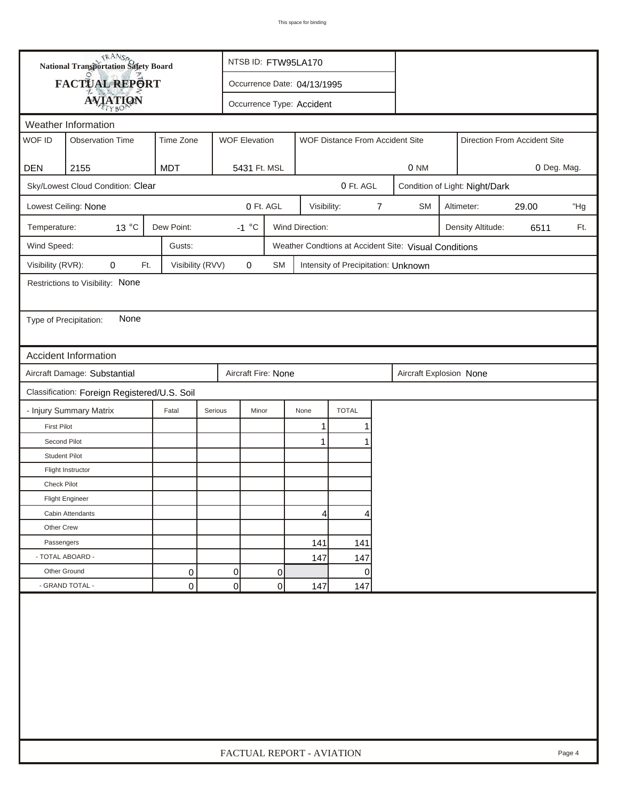| <b>National Transportation Safety Board</b>                                      |                                              |                  |                      | NTSB ID: FTW95LA170       |                             |                                     |   |                                                       |                            |                   |      |     |
|----------------------------------------------------------------------------------|----------------------------------------------|------------------|----------------------|---------------------------|-----------------------------|-------------------------------------|---|-------------------------------------------------------|----------------------------|-------------------|------|-----|
|                                                                                  | FACTUAL REPORT                               |                  |                      |                           | Occurrence Date: 04/13/1995 |                                     |   |                                                       |                            |                   |      |     |
|                                                                                  | <b>AVIATION</b>                              |                  |                      | Occurrence Type: Accident |                             |                                     |   |                                                       |                            |                   |      |     |
| Weather Information                                                              |                                              |                  |                      |                           |                             |                                     |   |                                                       |                            |                   |      |     |
| WOF ID                                                                           | <b>Observation Time</b>                      | Time Zone        | <b>WOF Elevation</b> |                           |                             | WOF Distance From Accident Site     |   | Direction From Accident Site                          |                            |                   |      |     |
|                                                                                  |                                              |                  |                      |                           |                             |                                     |   |                                                       |                            |                   |      |     |
| <b>DEN</b>                                                                       | 2155                                         | <b>MDT</b>       | 5431 Ft. MSL         |                           |                             |                                     |   | 0 Deg. Mag.<br>0 NM                                   |                            |                   |      |     |
| Sky/Lowest Cloud Condition: Clear<br>0 Ft. AGL<br>Condition of Light: Night/Dark |                                              |                  |                      |                           |                             |                                     |   |                                                       |                            |                   |      |     |
|                                                                                  | Lowest Ceiling: None                         |                  |                      | 0 Ft. AGL                 | Visibility:                 |                                     | 7 | <b>SM</b>                                             | 29.00<br>Altimeter:<br>"Hg |                   |      |     |
| Temperature:                                                                     | 13 °C                                        | Dew Point:       | $-1 °C$              |                           | Wind Direction:             |                                     |   |                                                       |                            | Density Altitude: | 6511 | Ft. |
| Wind Speed:                                                                      |                                              | Gusts:           |                      |                           |                             |                                     |   | Weather Condtions at Accident Site: Visual Conditions |                            |                   |      |     |
| Visibility (RVR):                                                                | 0<br>Ft.                                     | Visibility (RVV) | $\mathbf 0$          | <b>SM</b>                 |                             | Intensity of Precipitation: Unknown |   |                                                       |                            |                   |      |     |
|                                                                                  | Restrictions to Visibility: None             |                  |                      |                           |                             |                                     |   |                                                       |                            |                   |      |     |
|                                                                                  |                                              |                  |                      |                           |                             |                                     |   |                                                       |                            |                   |      |     |
| Type of Precipitation:                                                           | None                                         |                  |                      |                           |                             |                                     |   |                                                       |                            |                   |      |     |
|                                                                                  |                                              |                  |                      |                           |                             |                                     |   |                                                       |                            |                   |      |     |
|                                                                                  | <b>Accident Information</b>                  |                  |                      |                           |                             |                                     |   |                                                       |                            |                   |      |     |
|                                                                                  | Aircraft Damage: Substantial                 |                  | Aircraft Fire: None  |                           |                             |                                     |   | Aircraft Explosion None                               |                            |                   |      |     |
|                                                                                  | Classification: Foreign Registered/U.S. Soil |                  |                      |                           |                             |                                     |   |                                                       |                            |                   |      |     |
|                                                                                  | - Injury Summary Matrix                      | Fatal            | Serious<br>Minor     |                           | None                        | <b>TOTAL</b>                        |   |                                                       |                            |                   |      |     |
| <b>First Pilot</b>                                                               |                                              |                  |                      |                           | $\mathbf{1}$                | 1                                   |   |                                                       |                            |                   |      |     |
| Second Pilot                                                                     |                                              |                  |                      |                           | 1                           |                                     |   |                                                       |                            |                   |      |     |
| <b>Student Pilot</b>                                                             |                                              |                  |                      |                           |                             |                                     |   |                                                       |                            |                   |      |     |
|                                                                                  | Flight Instructor                            |                  |                      |                           |                             |                                     |   |                                                       |                            |                   |      |     |
| <b>Check Pilot</b>                                                               |                                              |                  |                      |                           |                             |                                     |   |                                                       |                            |                   |      |     |
|                                                                                  | <b>Flight Engineer</b>                       |                  |                      |                           |                             |                                     |   |                                                       |                            |                   |      |     |
|                                                                                  | Cabin Attendants                             |                  |                      |                           | 4 <sup>1</sup>              | 4                                   |   |                                                       |                            |                   |      |     |
| Other Crew                                                                       |                                              |                  |                      |                           |                             |                                     |   |                                                       |                            |                   |      |     |
| Passengers                                                                       |                                              |                  |                      |                           | 141                         | 141                                 |   |                                                       |                            |                   |      |     |
| - TOTAL ABOARD -                                                                 |                                              |                  |                      |                           | 147                         | 147                                 |   |                                                       |                            |                   |      |     |
| Other Ground                                                                     |                                              | 0                | 0                    | 0                         |                             | 0                                   |   |                                                       |                            |                   |      |     |
|                                                                                  | - GRAND TOTAL -                              | 0                | $\overline{0}$       | 0                         | 147                         | 147                                 |   |                                                       |                            |                   |      |     |
|                                                                                  |                                              |                  |                      |                           |                             |                                     |   |                                                       |                            |                   |      |     |
| FACTUAL REPORT - AVIATION<br>Page 4                                              |                                              |                  |                      |                           |                             |                                     |   |                                                       |                            |                   |      |     |